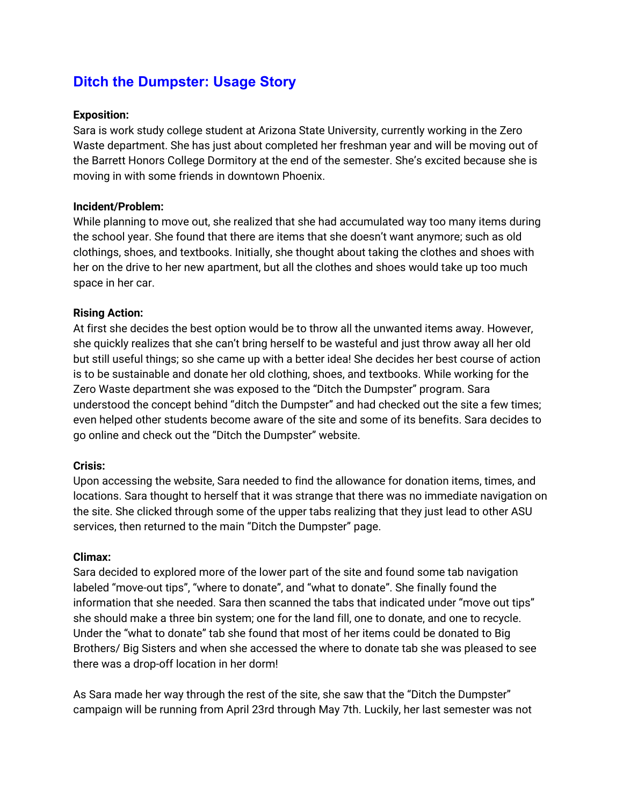# **Ditch the Dumpster: Usage Story**

## **Exposition:**

Sara is work study college student at Arizona State University, currently working in the Zero Waste department. She has just about completed her freshman year and will be moving out of the Barrett Honors College Dormitory at the end of the semester. She's excited because she is moving in with some friends in downtown Phoenix.

### **Incident/Problem:**

While planning to move out, she realized that she had accumulated way too many items during the school year. She found that there are items that she doesn't want anymore; such as old clothings, shoes, and textbooks. Initially, she thought about taking the clothes and shoes with her on the drive to her new apartment, but all the clothes and shoes would take up too much space in her car.

### **Rising Action:**

At first she decides the best option would be to throw all the unwanted items away. However, she quickly realizes that she can't bring herself to be wasteful and just throw away all her old but still useful things; so she came up with a better idea! She decides her best course of action is to be sustainable and donate her old clothing, shoes, and textbooks. While working for the Zero Waste department she was exposed to the "Ditch the Dumpster" program. Sara understood the concept behind "ditch the Dumpster" and had checked out the site a few times; even helped other students become aware of the site and some of its benefits. Sara decides to go online and check out the "Ditch the Dumpster" website.

### **Crisis:**

Upon accessing the website, Sara needed to find the allowance for donation items, times, and locations. Sara thought to herself that it was strange that there was no immediate navigation on the site. She clicked through some of the upper tabs realizing that they just lead to other ASU services, then returned to the main "Ditch the Dumpster" page.

### **Climax:**

Sara decided to explored more of the lower part of the site and found some tab navigation labeled "move-out tips", "where to donate", and "what to donate". She finally found the information that she needed. Sara then scanned the tabs that indicated under "move out tips" she should make a three bin system; one for the land fill, one to donate, and one to recycle. Under the "what to donate" tab she found that most of her items could be donated to Big Brothers/ Big Sisters and when she accessed the where to donate tab she was pleased to see there was a drop-off location in her dorm!

As Sara made her way through the rest of the site, she saw that the "Ditch the Dumpster" campaign will be running from April 23rd through May 7th. Luckily, her last semester was not